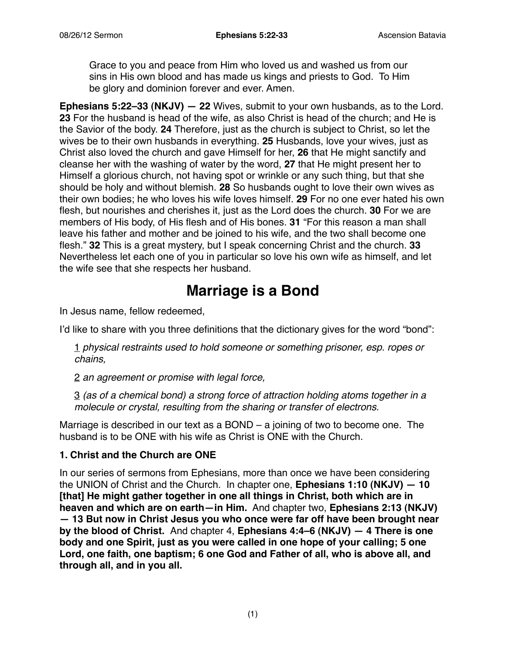Grace to you and peace from Him who loved us and washed us from our sins in His own blood and has made us kings and priests to God. To Him be glory and dominion forever and ever. Amen.

**Ephesians 5:22–33 (NKJV) — 22** Wives, submit to your own husbands, as to the Lord. **23** For the husband is head of the wife, as also Christ is head of the church; and He is the Savior of the body. **24** Therefore, just as the church is subject to Christ, so let the wives be to their own husbands in everything. **25** Husbands, love your wives, just as Christ also loved the church and gave Himself for her, **26** that He might sanctify and cleanse her with the washing of water by the word, **27** that He might present her to Himself a glorious church, not having spot or wrinkle or any such thing, but that she should be holy and without blemish. **28** So husbands ought to love their own wives as their own bodies; he who loves his wife loves himself. **29** For no one ever hated his own flesh, but nourishes and cherishes it, just as the Lord does the church. **30** For we are members of His body, of His flesh and of His bones. **31** "For this reason a man shall leave his father and mother and be joined to his wife, and the two shall become one flesh." **32** This is a great mystery, but I speak concerning Christ and the church. **33** Nevertheless let each one of you in particular so love his own wife as himself, and let the wife see that she respects her husband.

# **Marriage is a Bond**

In Jesus name, fellow redeemed,

I'd like to share with you three definitions that the dictionary gives for the word "bond":

1 *physical restraints used to hold someone or something prisoner, esp. ropes or chains,*

2 *an agreement or promise with legal force,*

3 *(as of a chemical bond) a strong force of attraction holding atoms together in a molecule or crystal, resulting from the sharing or transfer of electrons.*

Marriage is described in our text as a BOND – a joining of two to become one. The husband is to be ONE with his wife as Christ is ONE with the Church.

#### **1. Christ and the Church are ONE**

In our series of sermons from Ephesians, more than once we have been considering the UNION of Christ and the Church. In chapter one, **Ephesians 1:10 (NKJV) — 10 [that] He might gather together in one all things in Christ, both which are in heaven and which are on earth—in Him.** And chapter two, **Ephesians 2:13 (NKJV) — 13 But now in Christ Jesus you who once were far off have been brought near by the blood of Christ.** And chapter 4, **Ephesians 4:4–6 (NKJV) — 4 There is one body and one Spirit, just as you were called in one hope of your calling; 5 one Lord, one faith, one baptism; 6 one God and Father of all, who is above all, and through all, and in you all.**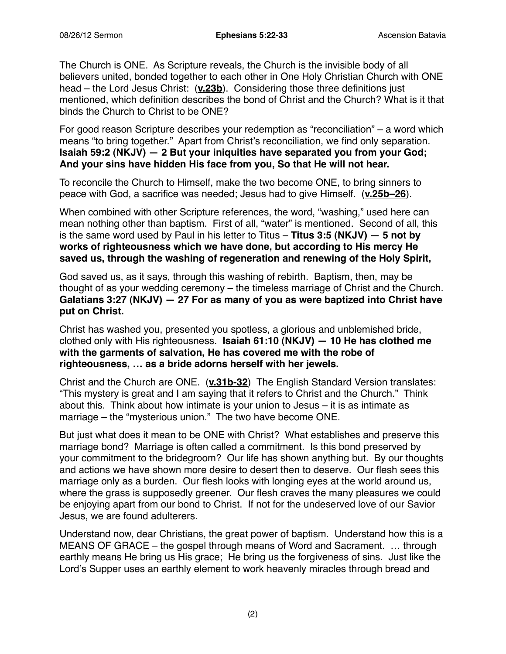The Church is ONE. As Scripture reveals, the Church is the invisible body of all believers united, bonded together to each other in One Holy Christian Church with ONE head – the Lord Jesus Christ: (**v.23b**). Considering those three definitions just mentioned, which definition describes the bond of Christ and the Church? What is it that binds the Church to Christ to be ONE?

For good reason Scripture describes your redemption as "reconciliation" – a word which means "to bring together." Apart from Christ's reconciliation, we find only separation. **Isaiah 59:2 (NKJV) — 2 But your iniquities have separated you from your God; And your sins have hidden His face from you, So that He will not hear.**

To reconcile the Church to Himself, make the two become ONE, to bring sinners to peace with God, a sacrifice was needed; Jesus had to give Himself. (**v.25b–26**).

When combined with other Scripture references, the word, "washing," used here can mean nothing other than baptism. First of all, "water" is mentioned. Second of all, this is the same word used by Paul in his letter to Titus – **Titus 3:5 (NKJV) — 5 not by works of righteousness which we have done, but according to His mercy He saved us, through the washing of regeneration and renewing of the Holy Spirit,**

God saved us, as it says, through this washing of rebirth. Baptism, then, may be thought of as your wedding ceremony – the timeless marriage of Christ and the Church. **Galatians 3:27 (NKJV) — 27 For as many of you as were baptized into Christ have put on Christ.**

Christ has washed you, presented you spotless, a glorious and unblemished bride, clothed only with His righteousness. **Isaiah 61:10 (NKJV) — 10 He has clothed me with the garments of salvation, He has covered me with the robe of righteousness, … as a bride adorns herself with her jewels.**

Christ and the Church are ONE. (**v.31b-32**) The English Standard Version translates: "This mystery is great and I am saying that it refers to Christ and the Church." Think about this. Think about how intimate is your union to Jesus – it is as intimate as marriage – the "mysterious union." The two have become ONE.

But just what does it mean to be ONE with Christ? What establishes and preserve this marriage bond? Marriage is often called a commitment. Is this bond preserved by your commitment to the bridegroom? Our life has shown anything but. By our thoughts and actions we have shown more desire to desert then to deserve. Our flesh sees this marriage only as a burden. Our flesh looks with longing eyes at the world around us, where the grass is supposedly greener. Our flesh craves the many pleasures we could be enjoying apart from our bond to Christ. If not for the undeserved love of our Savior Jesus, we are found adulterers.

Understand now, dear Christians, the great power of baptism. Understand how this is a MEANS OF GRACE – the gospel through means of Word and Sacrament. … through earthly means He bring us His grace; He bring us the forgiveness of sins. Just like the Lord's Supper uses an earthly element to work heavenly miracles through bread and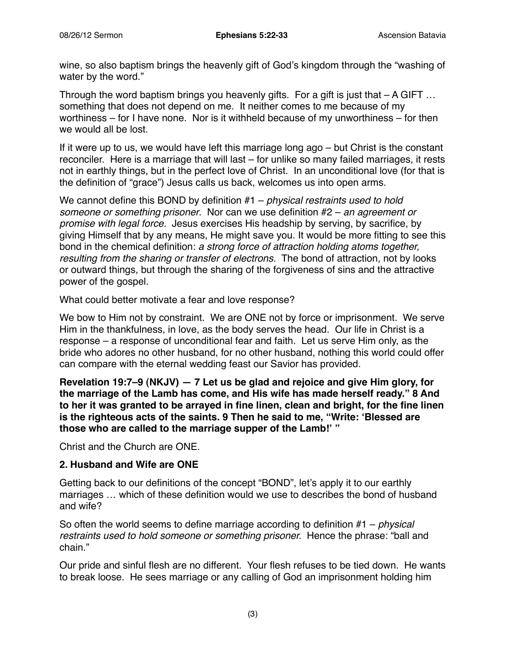wine, so also baptism brings the heavenly gift of God's kingdom through the "washing of water by the word."

Through the word baptism brings you heavenly gifts. For a gift is just that  $- A GIFT$ ... something that does not depend on me. It neither comes to me because of my worthiness – for I have none. Nor is it withheld because of my unworthiness – for then we would all be lost.

If it were up to us, we would have left this marriage long ago – but Christ is the constant reconciler. Here is a marriage that will last – for unlike so many failed marriages, it rests not in earthly things, but in the perfect love of Christ. In an unconditional love (for that is the definition of "grace") Jesus calls us back, welcomes us into open arms.

We cannot define this BOND by definition #1 – *physical restraints used to hold someone or something prisoner*. Nor can we use definition #2 – *an agreement or promise with legal force.* Jesus exercises His headship by serving, by sacrifice, by giving Himself that by any means, He might save you. It would be more fitting to see this bond in the chemical definition: *a strong force of attraction holding atoms together, resulting from the sharing or transfer of electrons.* The bond of attraction, not by looks or outward things, but through the sharing of the forgiveness of sins and the attractive power of the gospel.

What could better motivate a fear and love response?

We bow to Him not by constraint. We are ONE not by force or imprisonment. We serve Him in the thankfulness, in love, as the body serves the head. Our life in Christ is a response – a response of unconditional fear and faith. Let us serve Him only, as the bride who adores no other husband, for no other husband, nothing this world could offer can compare with the eternal wedding feast our Savior has provided.

**Revelation 19:7–9 (NKJV) — 7 Let us be glad and rejoice and give Him glory, for the marriage of the Lamb has come, and His wife has made herself ready." 8 And to her it was granted to be arrayed in fine linen, clean and bright, for the fine linen is the righteous acts of the saints. 9 Then he said to me, "Write: ʻBlessed are those who are called to the marriage supper of the Lamb!' "**

Christ and the Church are ONE.

#### **2. Husband and Wife are ONE**

Getting back to our definitions of the concept "BOND", let's apply it to our earthly marriages … which of these definition would we use to describes the bond of husband and wife?

So often the world seems to define marriage according to definition #1 – *physical restraints used to hold someone or something prisoner.* Hence the phrase: "ball and chain."

Our pride and sinful flesh are no different. Your flesh refuses to be tied down. He wants to break loose. He sees marriage or any calling of God an imprisonment holding him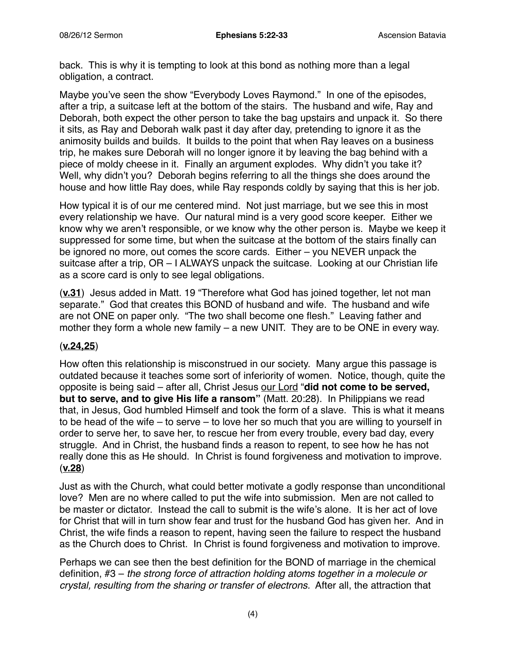back. This is why it is tempting to look at this bond as nothing more than a legal obligation, a contract.

Maybe you've seen the show "Everybody Loves Raymond." In one of the episodes, after a trip, a suitcase left at the bottom of the stairs. The husband and wife, Ray and Deborah, both expect the other person to take the bag upstairs and unpack it. So there it sits, as Ray and Deborah walk past it day after day, pretending to ignore it as the animosity builds and builds. It builds to the point that when Ray leaves on a business trip, he makes sure Deborah will no longer ignore it by leaving the bag behind with a piece of moldy cheese in it. Finally an argument explodes. Why didn't you take it? Well, why didn't you? Deborah begins referring to all the things she does around the house and how little Ray does, while Ray responds coldly by saying that this is her job.

How typical it is of our me centered mind. Not just marriage, but we see this in most every relationship we have. Our natural mind is a very good score keeper. Either we know why we aren't responsible, or we know why the other person is. Maybe we keep it suppressed for some time, but when the suitcase at the bottom of the stairs finally can be ignored no more, out comes the score cards. Either – you NEVER unpack the suitcase after a trip, OR – I ALWAYS unpack the suitcase. Looking at our Christian life as a score card is only to see legal obligations.

(**v.31**) Jesus added in Matt. 19 "Therefore what God has joined together, let not man separate." God that creates this BOND of husband and wife. The husband and wife are not ONE on paper only. "The two shall become one flesh." Leaving father and mother they form a whole new family – a new UNIT. They are to be ONE in every way.

## (**v.24,25**)

How often this relationship is misconstrued in our society. Many argue this passage is outdated because it teaches some sort of inferiority of women. Notice, though, quite the opposite is being said – after all, Christ Jesus our Lord "**did not come to be served, but to serve, and to give His life a ransom"** (Matt. 20:28). In Philippians we read that, in Jesus, God humbled Himself and took the form of a slave. This is what it means to be head of the wife – to serve – to love her so much that you are willing to yourself in order to serve her, to save her, to rescue her from every trouble, every bad day, every struggle. And in Christ, the husband finds a reason to repent, to see how he has not really done this as He should. In Christ is found forgiveness and motivation to improve. (**v.28**)

Just as with the Church, what could better motivate a godly response than unconditional love? Men are no where called to put the wife into submission. Men are not called to be master or dictator. Instead the call to submit is the wife's alone. It is her act of love for Christ that will in turn show fear and trust for the husband God has given her. And in Christ, the wife finds a reason to repent, having seen the failure to respect the husband as the Church does to Christ. In Christ is found forgiveness and motivation to improve.

Perhaps we can see then the best definition for the BOND of marriage in the chemical definition, #3 – *the strong force of attraction holding atoms together in a molecule or crystal, resulting from the sharing or transfer of electrons.* After all, the attraction that